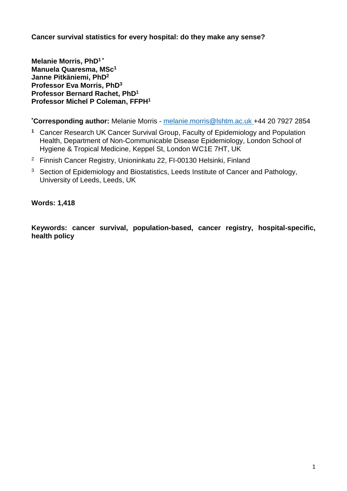**Cancer survival statistics for every hospital: do they make any sense?**

**Melanie Morris, PhD1 \* Manuela Quaresma, MSc<sup>1</sup> Janne Pitkäniemi, PhD<sup>2</sup> Professor Eva Morris, PhD<sup>3</sup> Professor Bernard Rachet, PhD<sup>1</sup> Professor Michel P Coleman, FFPH<sup>1</sup>**

**\*Corresponding author:** Melanie Morris - [melanie.morris@lshtm.ac.uk](mailto:melanie.morris@lshtm.ac.uk) +44 20 7927 2854

- **<sup>1</sup>** Cancer Research UK Cancer Survival Group, Faculty of Epidemiology and Population Health, Department of Non-Communicable Disease Epidemiology, London School of Hygiene & Tropical Medicine, Keppel St, London WC1E 7HT, UK
- <sup>2</sup> Finnish Cancer Registry, Unioninkatu 22, FI-00130 Helsinki, Finland
- <sup>3</sup> Section of Epidemiology and Biostatistics, Leeds Institute of Cancer and Pathology, University of Leeds, Leeds, UK

# **Words: 1,418**

**Keywords: cancer survival, population-based, cancer registry, hospital-specific, health policy**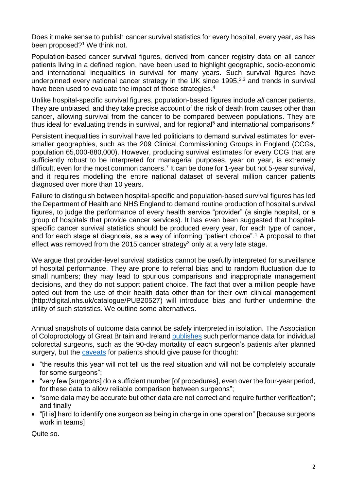Does it make sense to publish cancer survival statistics for every hospital, every year, as has been proposed?<sup>1</sup> We think not.

Population-based cancer survival figures, derived from cancer registry data on all cancer patients living in a defined region, have been used to highlight geographic, socio-economic and international inequalities in survival for many years. Such survival figures have underpinned every national cancer strategy in the UK since 1995, $2,3$  and trends in survival have been used to evaluate the impact of those strategies.<sup>4</sup>

Unlike hospital-specific survival figures, population-based figures include *all* cancer patients. They are unbiased, and they take precise account of the risk of death from causes other than cancer, allowing survival from the cancer to be compared between populations. They are thus ideal for evaluating trends in survival, and for regional<sup>5</sup> and international comparisons.<sup>6</sup>

Persistent inequalities in survival have led politicians to demand survival estimates for eversmaller geographies, such as the 209 Clinical Commissioning Groups in England (CCGs, population 65,000-880,000). However, producing survival estimates for every CCG that are sufficiently robust to be interpreted for managerial purposes, year on year, is extremely difficult, even for the most common cancers.<sup>7</sup> It can be done for 1-year but not 5-year survival, and it requires modelling the entire national dataset of several million cancer patients diagnosed over more than 10 years.

Failure to distinguish between hospital-specific and population-based survival figures has led the Department of Health and NHS England to demand routine production of hospital survival figures, to judge the performance of every health service "provider" (a single hospital, or a group of hospitals that provide cancer services). It has even been suggested that hospitalspecific cancer survival statistics should be produced every year, for each type of cancer, and for each stage at diagnosis, as a way of informing "patient choice".<sup>1</sup> A proposal to that effect was removed from the 2015 cancer strategy<sup>3</sup> only at a very late stage.

We argue that provider-level survival statistics cannot be usefully interpreted for surveillance of hospital performance. They are prone to referral bias and to random fluctuation due to small numbers; they may lead to spurious comparisons and inappropriate management decisions, and they do not support patient choice. The fact that over a million people have opted out from the use of their health data other than for their own clinical management (http://digital.nhs.uk/catalogue/PUB20527) will introduce bias and further undermine the utility of such statistics. We outline some alternatives.

Annual snapshots of outcome data cannot be safely interpreted in isolation. The Association of Coloproctology of Great Britain and Ireland [publishes](http://www.acpgbi.org.uk/surgeon-outcomes) such performance data for individual colorectal surgeons, such as the 90-day mortality of each surgeon's patients after planned surgery, but the [caveats](http://www.acpgbi.org.uk/surgeon-outcomes/information-patients/) for patients should give pause for thought:

- "the results this year will not tell us the real situation and will not be completely accurate for some surgeons";
- "very few [surgeons] do a sufficient number [of procedures], even over the four-year period, for these data to allow reliable comparison between surgeons";
- "some data may be accurate but other data are not correct and require further verification"; and finally
- "[it is] hard to identify one surgeon as being in charge in one operation" [because surgeons work in teams]

Quite so.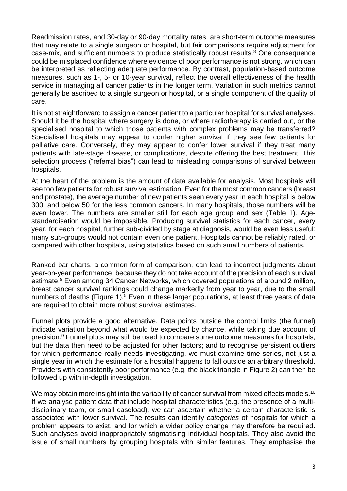Readmission rates, and 30-day or 90-day mortality rates, are short-term outcome measures that may relate to a single surgeon or hospital, but fair comparisons require adjustment for case-mix, and sufficient numbers to produce statistically robust results.<sup>8</sup> One consequence could be misplaced confidence where evidence of poor performance is not strong, which can be interpreted as reflecting adequate performance. By contrast, population-based outcome measures, such as 1-, 5- or 10-year survival, reflect the overall effectiveness of the health service in managing all cancer patients in the longer term. Variation in such metrics cannot generally be ascribed to a single surgeon or hospital, or a single component of the quality of care.

It is not straightforward to assign a cancer patient to a particular hospital for survival analyses. Should it be the hospital where surgery is done, or where radiotherapy is carried out, or the specialised hospital to which those patients with complex problems may be transferred? Specialised hospitals may appear to confer higher survival if they see few patients for palliative care. Conversely, they may appear to confer lower survival if they treat many patients with late-stage disease, or complications, despite offering the best treatment. This selection process ("referral bias") can lead to misleading comparisons of survival between hospitals.

At the heart of the problem is the amount of data available for analysis. Most hospitals will see too few patients for robust survival estimation. Even for the most common cancers (breast and prostate), the average number of new patients seen every year in each hospital is below 300, and below 50 for the less common cancers. In many hospitals, those numbers will be even lower. The numbers are smaller still for each age group and sex [\(Table 1\)](#page-6-0). Agestandardisation would be impossible. Producing survival statistics for each cancer, every year, for each hospital, further sub-divided by stage at diagnosis, would be even less useful: many sub-groups would not contain even one patient. Hospitals cannot be reliably rated, or compared with other hospitals, using statistics based on such small numbers of patients.

Ranked bar charts, a common form of comparison, can lead to incorrect judgments about year-on-year performance, because they do not take account of the precision of each survival estimate.<sup>9</sup> Even among 34 Cancer Networks, which covered populations of around 2 million, breast cancer survival rankings could change markedly from year to year, due to the small numbers of deaths [\(Figure 1\)](#page-7-0).<sup>5</sup> Even in these larger populations, at least three years of data are required to obtain more robust survival estimates.

Funnel plots provide a good alternative. Data points outside the control limits (the funnel) indicate variation beyond what would be expected by chance, while taking due account of precision. <sup>9</sup> Funnel plots may still be used to compare some outcome measures for hospitals, but the data then need to be adjusted for other factors; and to recognise persistent outliers for which performance really needs investigating, we must examine time series, not just a single year in which the estimate for a hospital happens to fall outside an arbitrary threshold. Providers with consistently poor performance (e.g. the black triangle in [Figure 2\)](#page-8-0) can then be followed up with in-depth investigation.

We may obtain more insight into the variability of cancer survival from mixed effects models.<sup>10</sup> If we analyse patient data that include hospital characteristics (e.g. the presence of a multidisciplinary team, or small caseload), we can ascertain whether a certain characteristic is associated with lower survival. The results can identify *categories* of hospitals for which a problem appears to exist, and for which a wider policy change may therefore be required. Such analyses avoid inappropriately stigmatising individual hospitals. They also avoid the issue of small numbers by grouping hospitals with similar features. They emphasise the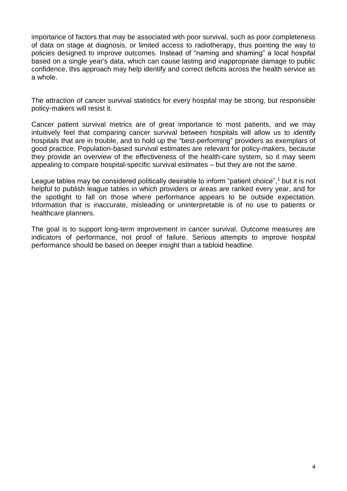importance of factors that may be associated with poor survival, such as poor completeness of data on stage at diagnosis, or limited access to radiotherapy, thus pointing the way to policies designed to improve outcomes. Instead of "naming and shaming" a local hospital based on a single year's data, which can cause lasting and inappropriate damage to public confidence, this approach may help identify and correct deficits across the health service as a whole.

The attraction of cancer survival statistics for every hospital may be strong, but responsible policy-makers will resist it.

Cancer patient survival metrics are of great importance to most patients, and we may intuitively feel that comparing cancer survival between hospitals will allow us to identify hospitals that are in trouble, and to hold up the "best-performing" providers as exemplars of good practice. Population-based survival estimates are relevant for policy-makers, because they provide an overview of the effectiveness of the health-care system, so it may seem appealing to compare hospital-specific survival estimates – but they are not the same.

League tables may be considered politically desirable to inform "patient choice",<sup>1</sup> but it is not helpful to publish league tables in which providers or areas are ranked every year, and for the spotlight to fall on those where performance appears to be outside expectation. Information that is inaccurate, misleading or uninterpretable is of no use to patients or healthcare planners.

The goal is to support long-term improvement in cancer survival. Outcome measures are indicators of performance, not proof of failure. Serious attempts to improve hospital performance should be based on deeper insight than a tabloid headline.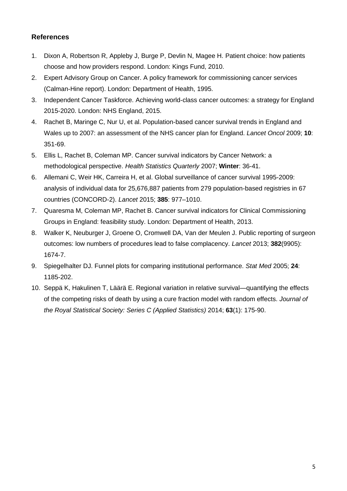# **References**

- 1. Dixon A, Robertson R, Appleby J, Burge P, Devlin N, Magee H. Patient choice: how patients choose and how providers respond. London: Kings Fund, 2010.
- 2. Expert Advisory Group on Cancer. A policy framework for commissioning cancer services (Calman-Hine report). London: Department of Health, 1995.
- 3. Independent Cancer Taskforce. Achieving world-class cancer outcomes: a strategy for England 2015-2020. London: NHS England, 2015.
- 4. Rachet B, Maringe C, Nur U, et al. Population-based cancer survival trends in England and Wales up to 2007: an assessment of the NHS cancer plan for England. *Lancet Oncol* 2009; **10**: 351-69.
- 5. Ellis L, Rachet B, Coleman MP. Cancer survival indicators by Cancer Network: a methodological perspective. *Health Statistics Quarterly* 2007; **Winter**: 36-41.
- 6. Allemani C, Weir HK, Carreira H, et al. Global surveillance of cancer survival 1995-2009: analysis of individual data for 25,676,887 patients from 279 population-based registries in 67 countries (CONCORD-2). *Lancet* 2015; **385**: 977–1010.
- 7. Quaresma M, Coleman MP, Rachet B. Cancer survival indicators for Clinical Commissioning Groups in England: feasibility study. London: Department of Health, 2013.
- 8. Walker K, Neuburger J, Groene O, Cromwell DA, Van der Meulen J. Public reporting of surgeon outcomes: low numbers of procedures lead to false complacency. *Lancet* 2013; **382**(9905): 1674-7.
- 9. Spiegelhalter DJ. Funnel plots for comparing institutional performance. *Stat Med* 2005; **24**: 1185-202.
- 10. Seppä K, Hakulinen T, Läärä E. Regional variation in relative survival—quantifying the effects of the competing risks of death by using a cure fraction model with random effects. *Journal of the Royal Statistical Society: Series C (Applied Statistics)* 2014; **63**(1): 175-90.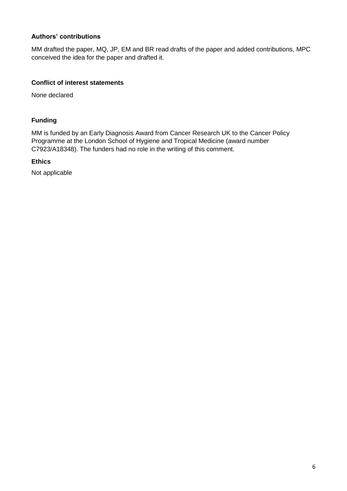## **Authors' contributions**

MM drafted the paper, MQ, JP, EM and BR read drafts of the paper and added contributions, MPC conceived the idea for the paper and drafted it.

### **Conflict of interest statements**

None declared

### **Funding**

MM is funded by an Early Diagnosis Award from Cancer Research UK to the Cancer Policy Programme at the London School of Hygiene and Tropical Medicine (award number C7923/A18348). The funders had no role in the writing of this comment.

### **Ethics**

Not applicable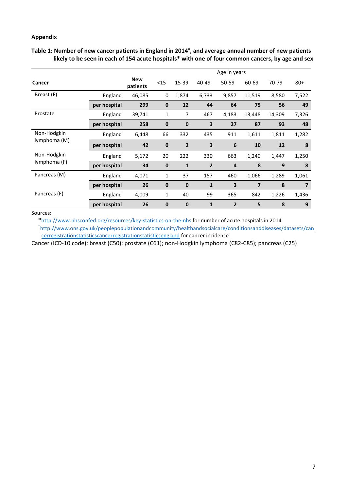#### **Appendix**

<span id="page-6-0"></span>

| Table 1: Number of new cancer patients in England in 2014 <sup>‡</sup> , and average annual number of new patients |
|--------------------------------------------------------------------------------------------------------------------|
| likely to be seen in each of 154 acute hospitals* with one of four common cancers, by age and sex                  |

|                             |              |                        | Age in years |                |                         |                |                |        |                |
|-----------------------------|--------------|------------------------|--------------|----------------|-------------------------|----------------|----------------|--------|----------------|
| Cancer                      |              | <b>New</b><br>patients | $15$         | 15-39          | 40-49                   | 50-59          | 60-69          | 70-79  | $80+$          |
| Breast (F)                  | England      | 46,085                 | 0            | 1,874          | 6,733                   | 9,857          | 11,519         | 8,580  | 7,522          |
|                             | per hospital | 299                    | $\mathbf 0$  | 12             | 44                      | 64             | 75             | 56     | 49             |
| Prostate                    | England      | 39,741                 | 1            | 7              | 467                     | 4,183          | 13,448         | 14,309 | 7,326          |
|                             | per hospital | 258                    | $\mathbf 0$  | $\bf{0}$       | $\overline{\mathbf{3}}$ | 27             | 87             | 93     | 48             |
| Non-Hodgkin<br>lymphoma (M) | England      | 6,448                  | 66           | 332            | 435                     | 911            | 1,611          | 1,811  | 1,282          |
|                             | per hospital | 42                     | $\mathbf 0$  | $\overline{2}$ | 3                       | 6              | 10             | 12     | 8              |
| Non-Hodgkin<br>lymphoma (F) | England      | 5,172                  | 20           | 222            | 330                     | 663            | 1,240          | 1,447  | 1,250          |
|                             | per hospital | 34                     | $\mathbf 0$  | $\mathbf{1}$   | $\overline{2}$          | $\overline{a}$ | 8              | 9      | 8              |
| Pancreas (M)                | England      | 4,071                  | 1            | 37             | 157                     | 460            | 1,066          | 1,289  | 1,061          |
|                             | per hospital | 26                     | $\mathbf 0$  | $\bf{0}$       | $\mathbf{1}$            | 3              | $\overline{7}$ | 8      | $\overline{7}$ |
| Pancreas (F)                | England      | 4,009                  | 1            | 40             | 99                      | 365            | 842            | 1,226  | 1,436          |
|                             | per hospital | 26                     | 0            | $\bf{0}$       | $\mathbf{1}$            | $\overline{2}$ | 5              | 8      | 9              |

## Sources:

\*<http://www.nhsconfed.org/resources/key-statistics-on-the-nhs> for number of acute hospitals in 2014 ‡ [http://www.ons.gov.uk/peoplepopulationandcommunity/healthandsocialcare/conditionsanddiseases/datasets/can](http://www.ons.gov.uk/peoplepopulationandcommunity/healthandsocialcare/conditionsanddiseases/datasets/cancerregistrationstatisticscancerregistrationstatisticsengland) [cerregistrationstatisticscancerregistrationstatisticsengland](http://www.ons.gov.uk/peoplepopulationandcommunity/healthandsocialcare/conditionsanddiseases/datasets/cancerregistrationstatisticscancerregistrationstatisticsengland) for cancer incidence

Cancer (ICD-10 code): breast (C50); prostate (C61); non-Hodgkin lymphoma (C82-C85); pancreas (C25)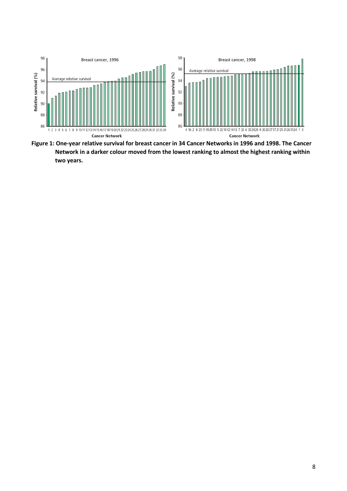

<span id="page-7-0"></span>**Figure 1: One-year relative survival for breast cancer in 34 Cancer Networks in 1996 and 1998. The Cancer Network in a darker colour moved from the lowest ranking to almost the highest ranking within two years.**